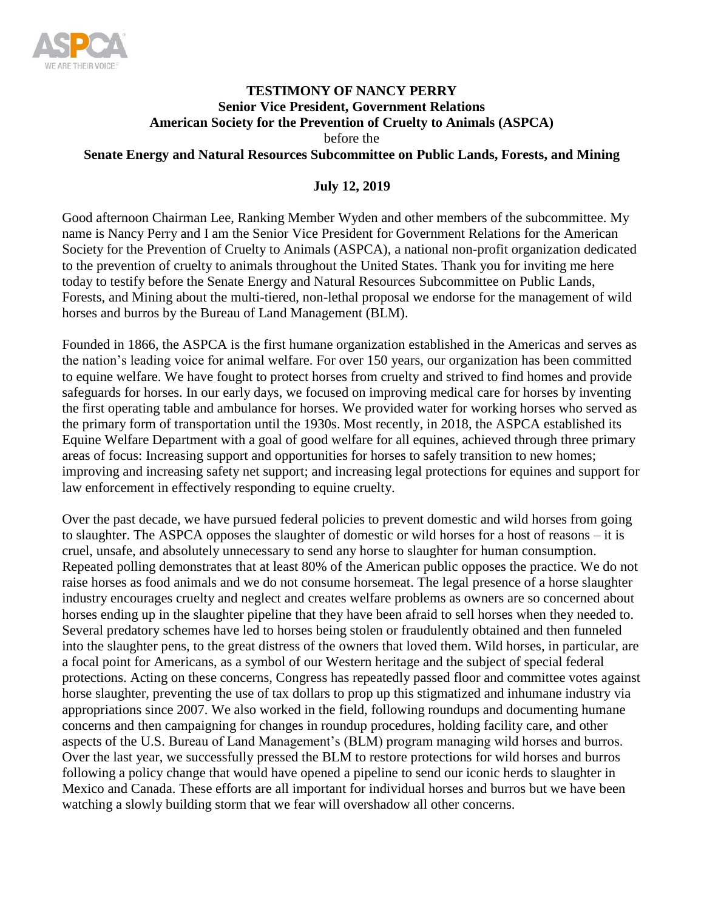

### **TESTIMONY OF NANCY PERRY Senior Vice President, Government Relations American Society for the Prevention of Cruelty to Animals (ASPCA)** before the **Senate Energy and Natural Resources Subcommittee on Public Lands, Forests, and Mining**

### **July 12, 2019**

Good afternoon Chairman Lee, Ranking Member Wyden and other members of the subcommittee. My name is Nancy Perry and I am the Senior Vice President for Government Relations for the American Society for the Prevention of Cruelty to Animals (ASPCA), a national non-profit organization dedicated to the prevention of cruelty to animals throughout the United States. Thank you for inviting me here today to testify before the Senate Energy and Natural Resources Subcommittee on Public Lands, Forests, and Mining about the multi-tiered, non-lethal proposal we endorse for the management of wild horses and burros by the Bureau of Land Management (BLM).

Founded in 1866, the ASPCA is the first humane organization established in the Americas and serves as the nation's leading voice for animal welfare. For over 150 years, our organization has been committed to equine welfare. We have fought to protect horses from cruelty and strived to find homes and provide safeguards for horses. In our early days, we focused on improving medical care for horses by inventing the first operating table and ambulance for horses. We provided water for working horses who served as the primary form of transportation until the 1930s. Most recently, in 2018, the ASPCA established its Equine Welfare Department with a goal of good welfare for all equines, achieved through three primary areas of focus: Increasing support and opportunities for horses to safely transition to new homes; improving and increasing safety net support; and increasing legal protections for equines and support for law enforcement in effectively responding to equine cruelty.

Over the past decade, we have pursued federal policies to prevent domestic and wild horses from going to slaughter. The ASPCA opposes the slaughter of domestic or wild horses for a host of reasons – it is cruel, unsafe, and absolutely unnecessary to send any horse to slaughter for human consumption. Repeated polling demonstrates that at least 80% of the American public opposes the practice. We do not raise horses as food animals and we do not consume horsemeat. The legal presence of a horse slaughter industry encourages cruelty and neglect and creates welfare problems as owners are so concerned about horses ending up in the slaughter pipeline that they have been afraid to sell horses when they needed to. Several predatory schemes have led to horses being stolen or fraudulently obtained and then funneled into the slaughter pens, to the great distress of the owners that loved them. Wild horses, in particular, are a focal point for Americans, as a symbol of our Western heritage and the subject of special federal protections. Acting on these concerns, Congress has repeatedly passed floor and committee votes against horse slaughter, preventing the use of tax dollars to prop up this stigmatized and inhumane industry via appropriations since 2007. We also worked in the field, following roundups and documenting humane concerns and then campaigning for changes in roundup procedures, holding facility care, and other aspects of the U.S. Bureau of Land Management's (BLM) program managing wild horses and burros. Over the last year, we successfully pressed the BLM to restore protections for wild horses and burros following a policy change that would have opened a pipeline to send our iconic herds to slaughter in Mexico and Canada. These efforts are all important for individual horses and burros but we have been watching a slowly building storm that we fear will overshadow all other concerns.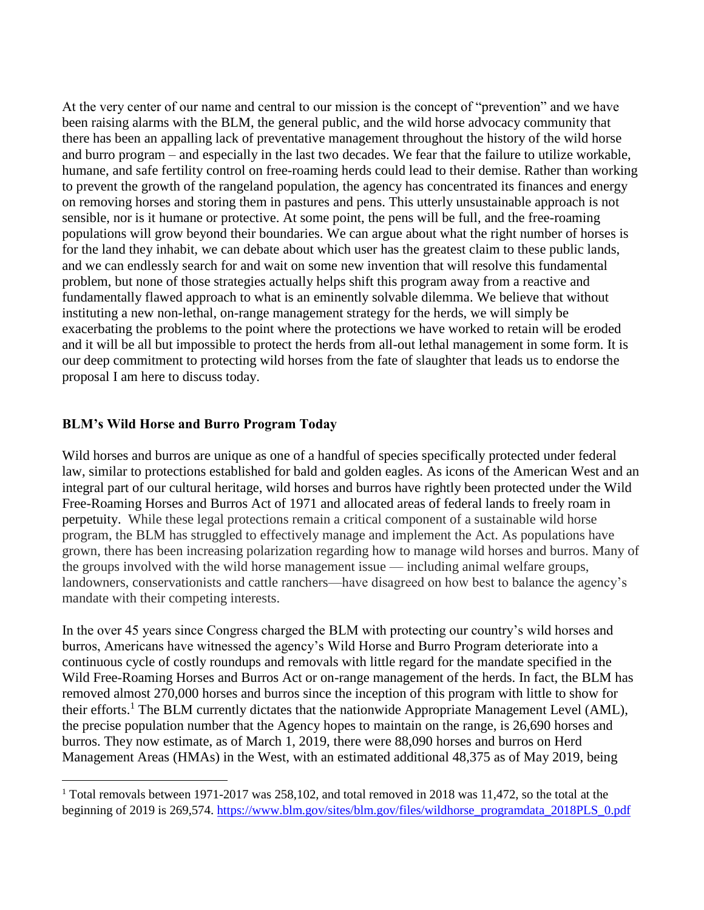At the very center of our name and central to our mission is the concept of "prevention" and we have been raising alarms with the BLM, the general public, and the wild horse advocacy community that there has been an appalling lack of preventative management throughout the history of the wild horse and burro program – and especially in the last two decades. We fear that the failure to utilize workable, humane, and safe fertility control on free-roaming herds could lead to their demise. Rather than working to prevent the growth of the rangeland population, the agency has concentrated its finances and energy on removing horses and storing them in pastures and pens. This utterly unsustainable approach is not sensible, nor is it humane or protective. At some point, the pens will be full, and the free-roaming populations will grow beyond their boundaries. We can argue about what the right number of horses is for the land they inhabit, we can debate about which user has the greatest claim to these public lands, and we can endlessly search for and wait on some new invention that will resolve this fundamental problem, but none of those strategies actually helps shift this program away from a reactive and fundamentally flawed approach to what is an eminently solvable dilemma. We believe that without instituting a new non-lethal, on-range management strategy for the herds, we will simply be exacerbating the problems to the point where the protections we have worked to retain will be eroded and it will be all but impossible to protect the herds from all-out lethal management in some form. It is our deep commitment to protecting wild horses from the fate of slaughter that leads us to endorse the proposal I am here to discuss today.

#### **BLM's Wild Horse and Burro Program Today**

 $\overline{\phantom{a}}$ 

Wild horses and burros are unique as one of a handful of species specifically protected under federal law, similar to protections established for bald and golden eagles. As icons of the American West and an integral part of our cultural heritage, wild horses and burros have rightly been protected under the Wild Free-Roaming Horses and Burros Act of 1971 and allocated areas of federal lands to freely roam in perpetuity. While these legal protections remain a critical component of a sustainable wild horse program, the BLM has struggled to effectively manage and implement the Act. As populations have grown, there has been increasing polarization regarding how to manage wild horses and burros. Many of the groups involved with the wild horse management issue — including animal welfare groups, landowners, conservationists and cattle ranchers—have disagreed on how best to balance the agency's mandate with their competing interests.

In the over 45 years since Congress charged the BLM with protecting our country's wild horses and burros, Americans have witnessed the agency's Wild Horse and Burro Program deteriorate into a continuous cycle of costly roundups and removals with little regard for the mandate specified in the Wild Free-Roaming Horses and Burros Act or on-range management of the herds. In fact, the BLM has removed almost 270,000 horses and burros since the inception of this program with little to show for their efforts.<sup>1</sup> The BLM currently dictates that the nationwide Appropriate Management Level (AML), the precise population number that the Agency hopes to maintain on the range, is 26,690 horses and burros. They now estimate, as of March 1, 2019, there were 88,090 horses and burros on Herd Management Areas (HMAs) in the West, with an estimated additional 48,375 as of May 2019, being

<sup>&</sup>lt;sup>1</sup> Total removals between 1971-2017 was 258,102, and total removed in 2018 was 11,472, so the total at the beginning of 2019 is 269,574. [https://www.blm.gov/sites/blm.gov/files/wildhorse\\_programdata\\_2018PLS\\_0.pdf](https://www.blm.gov/sites/blm.gov/files/wildhorse_programdata_2018PLS_0.pdf)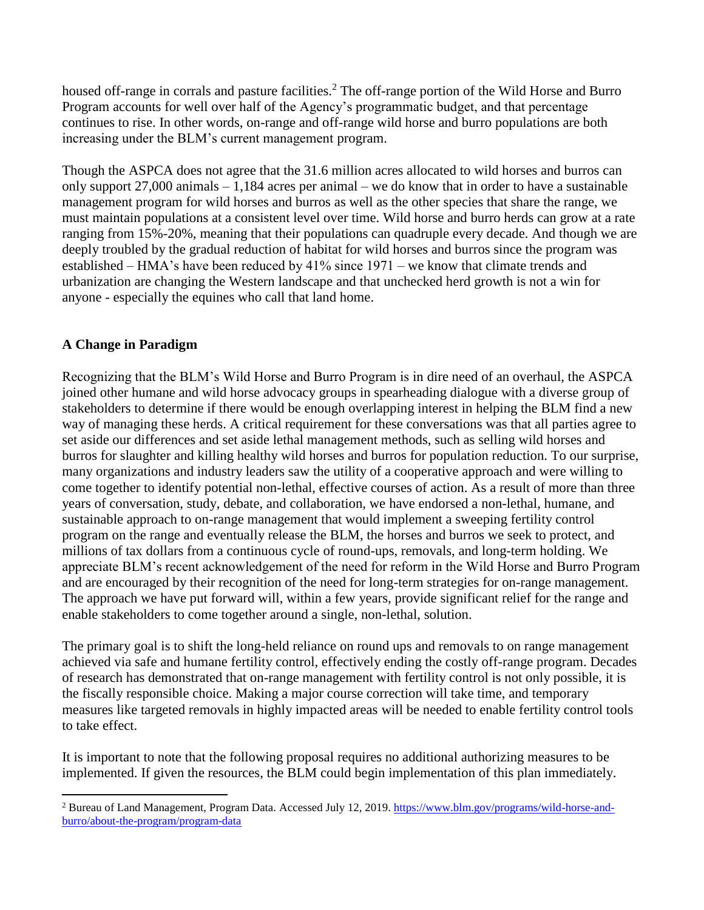housed off-range in corrals and pasture facilities.<sup>2</sup> The off-range portion of the Wild Horse and Burro Program accounts for well over half of the Agency's programmatic budget, and that percentage continues to rise. In other words, on-range and off-range wild horse and burro populations are both increasing under the BLM's current management program.

Though the ASPCA does not agree that the 31.6 million acres allocated to wild horses and burros can only support 27,000 animals – 1,184 acres per animal – we do know that in order to have a sustainable management program for wild horses and burros as well as the other species that share the range, we must maintain populations at a consistent level over time. Wild horse and burro herds can grow at a rate ranging from 15%-20%, meaning that their populations can quadruple every decade. And though we are deeply troubled by the gradual reduction of habitat for wild horses and burros since the program was established – HMA's have been reduced by 41% since 1971 – we know that climate trends and urbanization are changing the Western landscape and that unchecked herd growth is not a win for anyone - especially the equines who call that land home.

# **A Change in Paradigm**

 $\overline{a}$ 

Recognizing that the BLM's Wild Horse and Burro Program is in dire need of an overhaul, the ASPCA joined other humane and wild horse advocacy groups in spearheading dialogue with a diverse group of stakeholders to determine if there would be enough overlapping interest in helping the BLM find a new way of managing these herds. A critical requirement for these conversations was that all parties agree to set aside our differences and set aside lethal management methods, such as selling wild horses and burros for slaughter and killing healthy wild horses and burros for population reduction. To our surprise, many organizations and industry leaders saw the utility of a cooperative approach and were willing to come together to identify potential non-lethal, effective courses of action. As a result of more than three years of conversation, study, debate, and collaboration, we have endorsed a non-lethal, humane, and sustainable approach to on-range management that would implement a sweeping fertility control program on the range and eventually release the BLM, the horses and burros we seek to protect, and millions of tax dollars from a continuous cycle of round-ups, removals, and long-term holding. We appreciate BLM's recent acknowledgement of the need for reform in the Wild Horse and Burro Program and are encouraged by their recognition of the need for long-term strategies for on-range management. The approach we have put forward will, within a few years, provide significant relief for the range and enable stakeholders to come together around a single, non-lethal, solution.

The primary goal is to shift the long-held reliance on round ups and removals to on range management achieved via safe and humane fertility control, effectively ending the costly off-range program. Decades of research has demonstrated that on-range management with fertility control is not only possible, it is the fiscally responsible choice. Making a major course correction will take time, and temporary measures like targeted removals in highly impacted areas will be needed to enable fertility control tools to take effect.

It is important to note that the following proposal requires no additional authorizing measures to be implemented. If given the resources, the BLM could begin implementation of this plan immediately.

<sup>&</sup>lt;sup>2</sup> Bureau of Land Management, Program Data. Accessed July 12, 2019[. https://www.blm.gov/programs/wild-horse-and](https://www.blm.gov/programs/wild-horse-and-burro/about-the-program/program-data)[burro/about-the-program/program-data](https://www.blm.gov/programs/wild-horse-and-burro/about-the-program/program-data)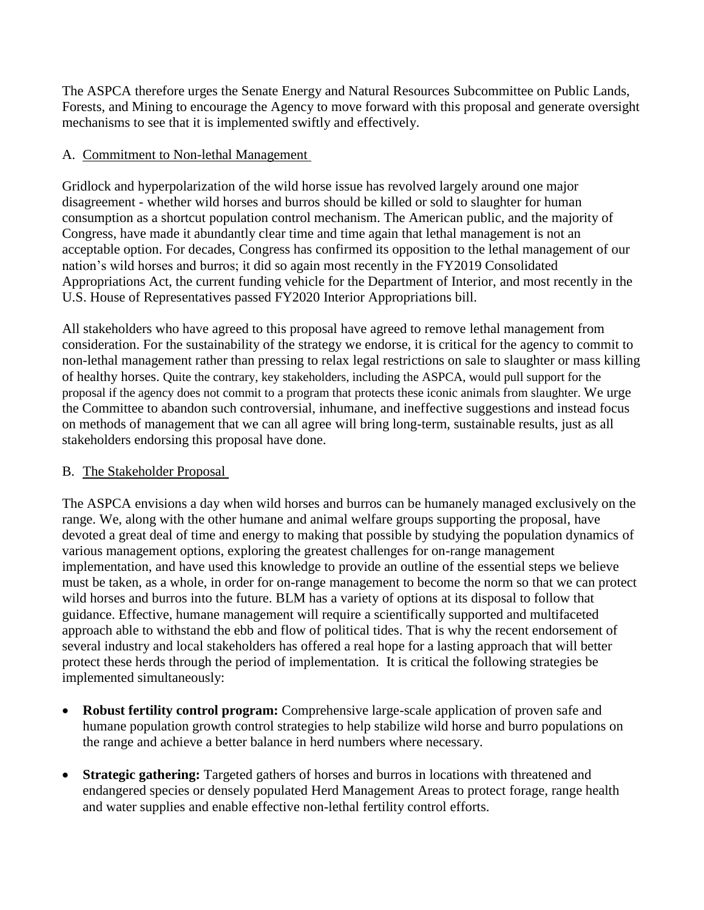The ASPCA therefore urges the Senate Energy and Natural Resources Subcommittee on Public Lands, Forests, and Mining to encourage the Agency to move forward with this proposal and generate oversight mechanisms to see that it is implemented swiftly and effectively.

# A. Commitment to Non-lethal Management

Gridlock and hyperpolarization of the wild horse issue has revolved largely around one major disagreement - whether wild horses and burros should be killed or sold to slaughter for human consumption as a shortcut population control mechanism. The American public, and the majority of Congress, have made it abundantly clear time and time again that lethal management is not an acceptable option. For decades, Congress has confirmed its opposition to the lethal management of our nation's wild horses and burros; it did so again most recently in the FY2019 Consolidated Appropriations Act, the current funding vehicle for the Department of Interior, and most recently in the U.S. House of Representatives passed FY2020 Interior Appropriations bill.

All stakeholders who have agreed to this proposal have agreed to remove lethal management from consideration. For the sustainability of the strategy we endorse, it is critical for the agency to commit to non-lethal management rather than pressing to relax legal restrictions on sale to slaughter or mass killing of healthy horses. Quite the contrary, key stakeholders, including the ASPCA, would pull support for the proposal if the agency does not commit to a program that protects these iconic animals from slaughter. We urge the Committee to abandon such controversial, inhumane, and ineffective suggestions and instead focus on methods of management that we can all agree will bring long-term, sustainable results, just as all stakeholders endorsing this proposal have done.

# B. The Stakeholder Proposal

The ASPCA envisions a day when wild horses and burros can be humanely managed exclusively on the range. We, along with the other humane and animal welfare groups supporting the proposal, have devoted a great deal of time and energy to making that possible by studying the population dynamics of various management options, exploring the greatest challenges for on-range management implementation, and have used this knowledge to provide an outline of the essential steps we believe must be taken, as a whole, in order for on-range management to become the norm so that we can protect wild horses and burros into the future. BLM has a variety of options at its disposal to follow that guidance. Effective, humane management will require a scientifically supported and multifaceted approach able to withstand the ebb and flow of political tides. That is why the recent endorsement of several industry and local stakeholders has offered a real hope for a lasting approach that will better protect these herds through the period of implementation. It is critical the following strategies be implemented simultaneously:

- **Robust fertility control program:** Comprehensive large-scale application of proven safe and humane population growth control strategies to help stabilize wild horse and burro populations on the range and achieve a better balance in herd numbers where necessary.
- **Strategic gathering:** Targeted gathers of horses and burros in locations with threatened and endangered species or densely populated Herd Management Areas to protect forage, range health and water supplies and enable effective non-lethal fertility control efforts.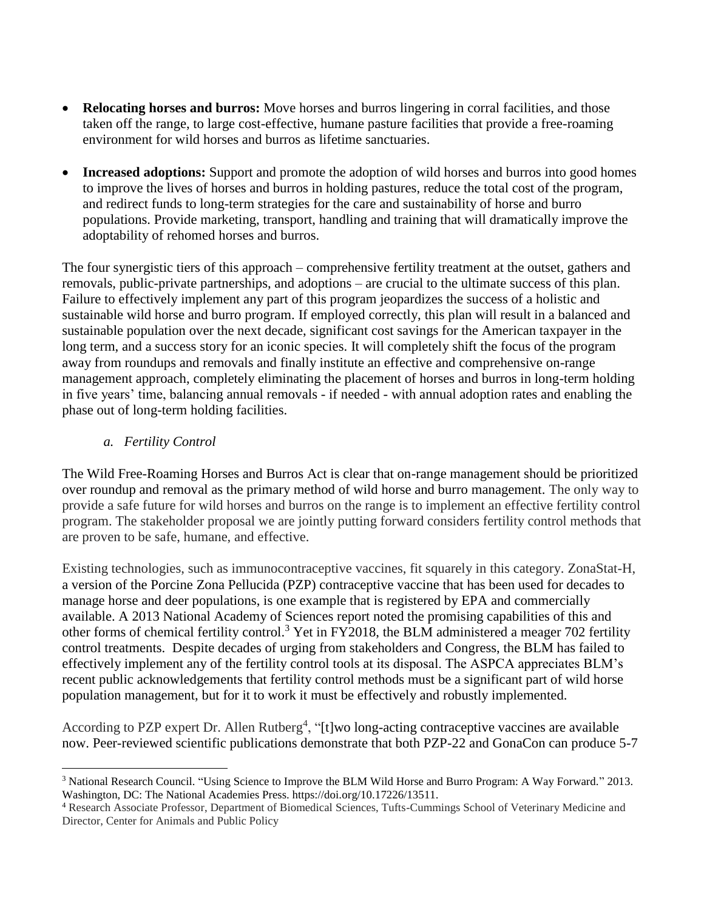- **Relocating horses and burros:** Move horses and burros lingering in corral facilities, and those taken off the range, to large cost-effective, humane pasture facilities that provide a free-roaming environment for wild horses and burros as lifetime sanctuaries.
- **Increased adoptions:** Support and promote the adoption of wild horses and burros into good homes to improve the lives of horses and burros in holding pastures, reduce the total cost of the program, and redirect funds to long-term strategies for the care and sustainability of horse and burro populations. Provide marketing, transport, handling and training that will dramatically improve the adoptability of rehomed horses and burros.

The four synergistic tiers of this approach – comprehensive fertility treatment at the outset, gathers and removals, public-private partnerships, and adoptions – are crucial to the ultimate success of this plan. Failure to effectively implement any part of this program jeopardizes the success of a holistic and sustainable wild horse and burro program. If employed correctly, this plan will result in a balanced and sustainable population over the next decade, significant cost savings for the American taxpayer in the long term, and a success story for an iconic species. It will completely shift the focus of the program away from roundups and removals and finally institute an effective and comprehensive on-range management approach, completely eliminating the placement of horses and burros in long-term holding in five years' time, balancing annual removals - if needed - with annual adoption rates and enabling the phase out of long-term holding facilities.

# *a. Fertility Control*

 $\overline{a}$ 

The Wild Free-Roaming Horses and Burros Act is clear that on-range management should be prioritized over roundup and removal as the primary method of wild horse and burro management. The only way to provide a safe future for wild horses and burros on the range is to implement an effective fertility control program. The stakeholder proposal we are jointly putting forward considers fertility control methods that are proven to be safe, humane, and effective.

Existing technologies, such as immunocontraceptive vaccines, fit squarely in this category. ZonaStat-H, a version of the Porcine Zona Pellucida (PZP) contraceptive vaccine that has been used for decades to manage horse and deer populations, is one example that is registered by EPA and commercially available. A 2013 National Academy of Sciences report noted the promising capabilities of this and other forms of chemical fertility control.<sup>3</sup> Yet in FY2018, the BLM administered a meager 702 fertility control treatments. Despite decades of urging from stakeholders and Congress, the BLM has failed to effectively implement any of the fertility control tools at its disposal. The ASPCA appreciates BLM's recent public acknowledgements that fertility control methods must be a significant part of wild horse population management, but for it to work it must be effectively and robustly implemented.

According to PZP expert Dr. Allen Rutberg<sup>4</sup>, "[t]wo long-acting contraceptive vaccines are available now. Peer-reviewed scientific publications demonstrate that both PZP-22 and GonaCon can produce 5-7

<sup>3</sup> National Research Council. "Using Science to Improve the BLM Wild Horse and Burro Program: A Way Forward." 2013. Washington, DC: The National Academies Press. https://doi.org/10.17226/13511.

<sup>4</sup> Research Associate Professor, Department of Biomedical Sciences, Tufts-Cummings School of Veterinary Medicine and Director, Center for Animals and Public Policy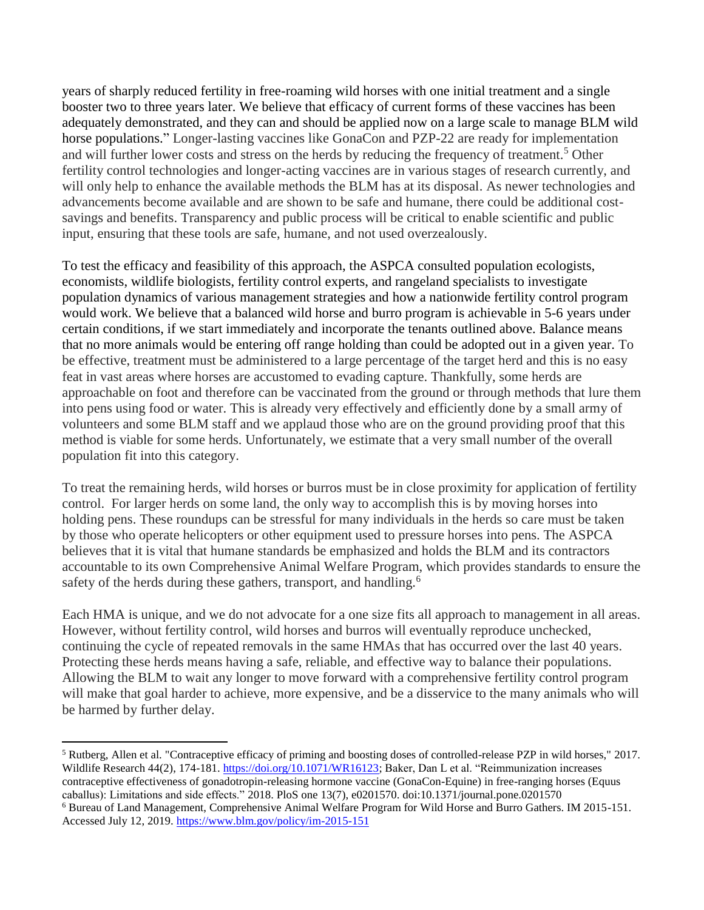years of sharply reduced fertility in free-roaming wild horses with one initial treatment and a single booster two to three years later. We believe that efficacy of current forms of these vaccines has been adequately demonstrated, and they can and should be applied now on a large scale to manage BLM wild horse populations." Longer-lasting vaccines like GonaCon and PZP-22 are ready for implementation and will further lower costs and stress on the herds by reducing the frequency of treatment.<sup>5</sup> Other fertility control technologies and longer-acting vaccines are in various stages of research currently, and will only help to enhance the available methods the BLM has at its disposal. As newer technologies and advancements become available and are shown to be safe and humane, there could be additional costsavings and benefits. Transparency and public process will be critical to enable scientific and public input, ensuring that these tools are safe, humane, and not used overzealously.

To test the efficacy and feasibility of this approach, the ASPCA consulted population ecologists, economists, wildlife biologists, fertility control experts, and rangeland specialists to investigate population dynamics of various management strategies and how a nationwide fertility control program would work. We believe that a balanced wild horse and burro program is achievable in 5-6 years under certain conditions, if we start immediately and incorporate the tenants outlined above. Balance means that no more animals would be entering off range holding than could be adopted out in a given year. To be effective, treatment must be administered to a large percentage of the target herd and this is no easy feat in vast areas where horses are accustomed to evading capture. Thankfully, some herds are approachable on foot and therefore can be vaccinated from the ground or through methods that lure them into pens using food or water. This is already very effectively and efficiently done by a small army of volunteers and some BLM staff and we applaud those who are on the ground providing proof that this method is viable for some herds. Unfortunately, we estimate that a very small number of the overall population fit into this category.

To treat the remaining herds, wild horses or burros must be in close proximity for application of fertility control. For larger herds on some land, the only way to accomplish this is by moving horses into holding pens. These roundups can be stressful for many individuals in the herds so care must be taken by those who operate helicopters or other equipment used to pressure horses into pens. The ASPCA believes that it is vital that humane standards be emphasized and holds the BLM and its contractors accountable to its own Comprehensive Animal Welfare Program, which provides standards to ensure the safety of the herds during these gathers, transport, and handling.<sup>6</sup>

Each HMA is unique, and we do not advocate for a one size fits all approach to management in all areas. However, without fertility control, wild horses and burros will eventually reproduce unchecked, continuing the cycle of repeated removals in the same HMAs that has occurred over the last 40 years. Protecting these herds means having a safe, reliable, and effective way to balance their populations. Allowing the BLM to wait any longer to move forward with a comprehensive fertility control program will make that goal harder to achieve, more expensive, and be a disservice to the many animals who will be harmed by further delay.

 $\overline{\phantom{a}}$ <sup>5</sup> Rutberg, Allen et al. "Contraceptive efficacy of priming and boosting doses of controlled-release PZP in wild horses," 2017. Wildlife Research 44(2), 174-181. [https://doi.org/10.1071/WR16123;](https://doi.org/10.1071/WR16123) Baker, Dan L et al. "Reimmunization increases contraceptive effectiveness of gonadotropin-releasing hormone vaccine (GonaCon-Equine) in free-ranging horses (Equus caballus): Limitations and side effects." 2018. PloS one 13(7), e0201570. doi:10.1371/journal.pone.0201570

<sup>6</sup> Bureau of Land Management, Comprehensive Animal Welfare Program for Wild Horse and Burro Gathers. IM 2015-151. Accessed July 12, 2019.<https://www.blm.gov/policy/im-2015-151>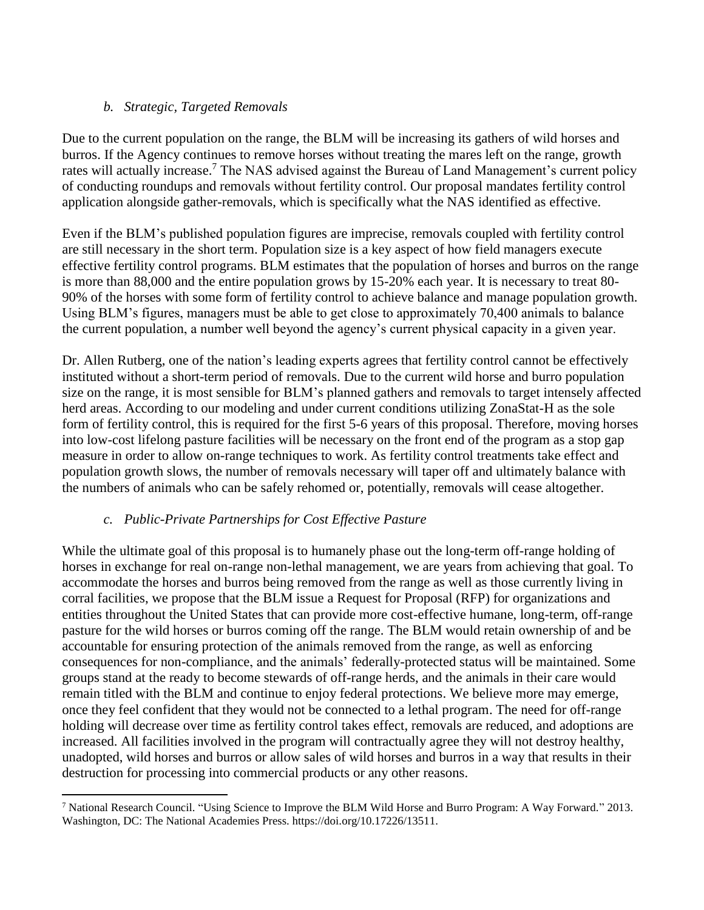# *b. Strategic, Targeted Removals*

Due to the current population on the range, the BLM will be increasing its gathers of wild horses and burros. If the Agency continues to remove horses without treating the mares left on the range, growth rates will actually increase.<sup>7</sup> The NAS advised against the Bureau of Land Management's current policy of conducting roundups and removals without fertility control. Our proposal mandates fertility control application alongside gather-removals, which is specifically what the NAS identified as effective.

Even if the BLM's published population figures are imprecise, removals coupled with fertility control are still necessary in the short term. Population size is a key aspect of how field managers execute effective fertility control programs. BLM estimates that the population of horses and burros on the range is more than 88,000 and the entire population grows by 15-20% each year. It is necessary to treat 80- 90% of the horses with some form of fertility control to achieve balance and manage population growth. Using BLM's figures, managers must be able to get close to approximately 70,400 animals to balance the current population, a number well beyond the agency's current physical capacity in a given year.

Dr. Allen Rutberg, one of the nation's leading experts agrees that fertility control cannot be effectively instituted without a short-term period of removals. Due to the current wild horse and burro population size on the range, it is most sensible for BLM's planned gathers and removals to target intensely affected herd areas. According to our modeling and under current conditions utilizing ZonaStat-H as the sole form of fertility control, this is required for the first 5-6 years of this proposal. Therefore, moving horses into low-cost lifelong pasture facilities will be necessary on the front end of the program as a stop gap measure in order to allow on-range techniques to work. As fertility control treatments take effect and population growth slows, the number of removals necessary will taper off and ultimately balance with the numbers of animals who can be safely rehomed or, potentially, removals will cease altogether.

# *c. Public-Private Partnerships for Cost Effective Pasture*

 $\overline{a}$ 

While the ultimate goal of this proposal is to humanely phase out the long-term off-range holding of horses in exchange for real on-range non-lethal management, we are years from achieving that goal. To accommodate the horses and burros being removed from the range as well as those currently living in corral facilities, we propose that the BLM issue a Request for Proposal (RFP) for organizations and entities throughout the United States that can provide more cost-effective humane, long-term, off-range pasture for the wild horses or burros coming off the range. The BLM would retain ownership of and be accountable for ensuring protection of the animals removed from the range, as well as enforcing consequences for non-compliance, and the animals' federally-protected status will be maintained. Some groups stand at the ready to become stewards of off-range herds, and the animals in their care would remain titled with the BLM and continue to enjoy federal protections. We believe more may emerge, once they feel confident that they would not be connected to a lethal program. The need for off-range holding will decrease over time as fertility control takes effect, removals are reduced, and adoptions are increased. All facilities involved in the program will contractually agree they will not destroy healthy, unadopted, wild horses and burros or allow sales of wild horses and burros in a way that results in their destruction for processing into commercial products or any other reasons.

<sup>7</sup> National Research Council. "Using Science to Improve the BLM Wild Horse and Burro Program: A Way Forward." 2013. Washington, DC: The National Academies Press. https://doi.org/10.17226/13511.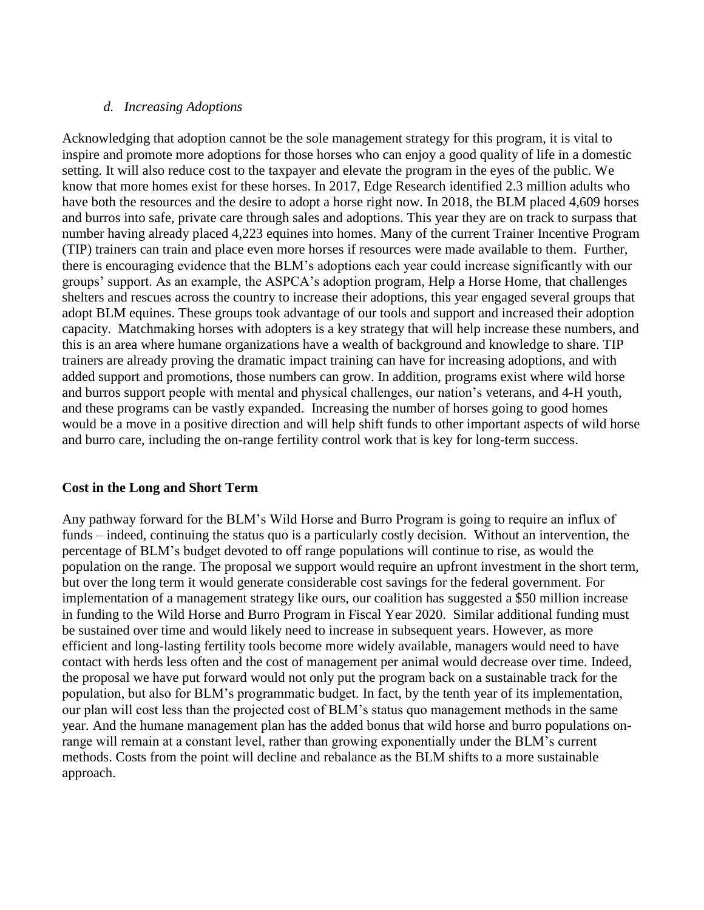#### *d. Increasing Adoptions*

Acknowledging that adoption cannot be the sole management strategy for this program, it is vital to inspire and promote more adoptions for those horses who can enjoy a good quality of life in a domestic setting. It will also reduce cost to the taxpayer and elevate the program in the eyes of the public. We know that more homes exist for these horses. In 2017, Edge Research identified 2.3 million adults who have both the resources and the desire to adopt a horse right now. In 2018, the BLM placed 4,609 horses and burros into safe, private care through sales and adoptions. This year they are on track to surpass that number having already placed 4,223 equines into homes. Many of the current Trainer Incentive Program (TIP) trainers can train and place even more horses if resources were made available to them. Further, there is encouraging evidence that the BLM's adoptions each year could increase significantly with our groups' support. As an example, the ASPCA's adoption program, Help a Horse Home, that challenges shelters and rescues across the country to increase their adoptions, this year engaged several groups that adopt BLM equines. These groups took advantage of our tools and support and increased their adoption capacity. Matchmaking horses with adopters is a key strategy that will help increase these numbers, and this is an area where humane organizations have a wealth of background and knowledge to share. TIP trainers are already proving the dramatic impact training can have for increasing adoptions, and with added support and promotions, those numbers can grow. In addition, programs exist where wild horse and burros support people with mental and physical challenges, our nation's veterans, and 4-H youth, and these programs can be vastly expanded. Increasing the number of horses going to good homes would be a move in a positive direction and will help shift funds to other important aspects of wild horse and burro care, including the on-range fertility control work that is key for long-term success.

#### **Cost in the Long and Short Term**

Any pathway forward for the BLM's Wild Horse and Burro Program is going to require an influx of funds – indeed, continuing the status quo is a particularly costly decision. Without an intervention, the percentage of BLM's budget devoted to off range populations will continue to rise, as would the population on the range. The proposal we support would require an upfront investment in the short term, but over the long term it would generate considerable cost savings for the federal government. For implementation of a management strategy like ours, our coalition has suggested a \$50 million increase in funding to the Wild Horse and Burro Program in Fiscal Year 2020. Similar additional funding must be sustained over time and would likely need to increase in subsequent years. However, as more efficient and long-lasting fertility tools become more widely available, managers would need to have contact with herds less often and the cost of management per animal would decrease over time. Indeed, the proposal we have put forward would not only put the program back on a sustainable track for the population, but also for BLM's programmatic budget. In fact, by the tenth year of its implementation, our plan will cost less than the projected cost of BLM's status quo management methods in the same year. And the humane management plan has the added bonus that wild horse and burro populations onrange will remain at a constant level, rather than growing exponentially under the BLM's current methods. Costs from the point will decline and rebalance as the BLM shifts to a more sustainable approach.